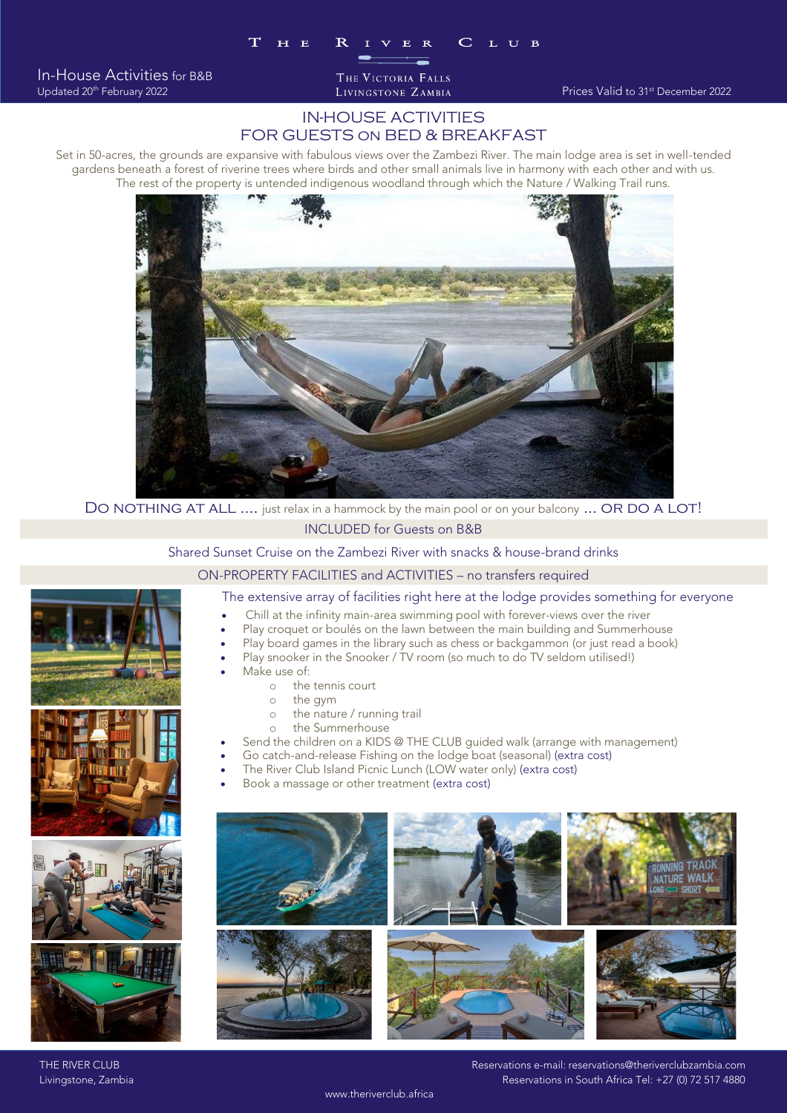In-House Activities for B&B Updated 20<sup>th</sup> February 2022 THE VICTORIA FALLS

## IN-HOUSE ACTIVITIES FOR GUESTS on BED & BREAKFAST

Set in 50-acres, the grounds are expansive with fabulous views over the Zambezi River. The main lodge area is set in well-tended The rest of the property is untended indigenous woodland through which the Nature / Walking Trail runs.



DO NOTHING AT ALL …. just relax in a hammock by the main pool or on your balcony … OR DO A LOT!<br>INCLUDED for Guests on B&B

Shared Sunset Cruise on the Zambezi River with snacks & house-brand drinks

ON-PROPERTY FACILITIES and ACTIVITIES - no transfers required

### The extensive array of facilities right here at the lodge provides something for everyone

- Chill at the infinity main-area swimming pool with forever-views over the river<br>• Play croquet or boules on the lawn between the main building and Summerbouse
- Play croquet or boulés on the lawn between the main building and Summerhouse
- Play board games in the library such as chess or backgammon (or just read a book)
- Play snooker in the Snooker / TV room (so much to do TV seldom utilised!)
	- Make use of:
		- $\circ$  the tennis court<br> $\circ$  the gym
			- <sup>o</sup> the gym
			- o the nature / running trail<br>o the Summerhouse
		- <sup>o</sup> the Summerhouse
- Send the children on a KIDS @ THE CLUB guided walk (arrange with management)
- Go catch-and-release Fishing on the lodge boat (seasonal) (extra cost)
	- The River Club Island Picnic Lunch (LOW water only) (extra cost)
	- Book a massage or other treatment (extra cost)



THE RIVER CLUB RESERVATION CONTROLLER IN EXAMPLE THE RIVER CLUB RESERVATIONS E-MAIL: reservations@theriverclubzambia.com<br>Reservations in South Africa Tel: +27 (0) 72 517 4880